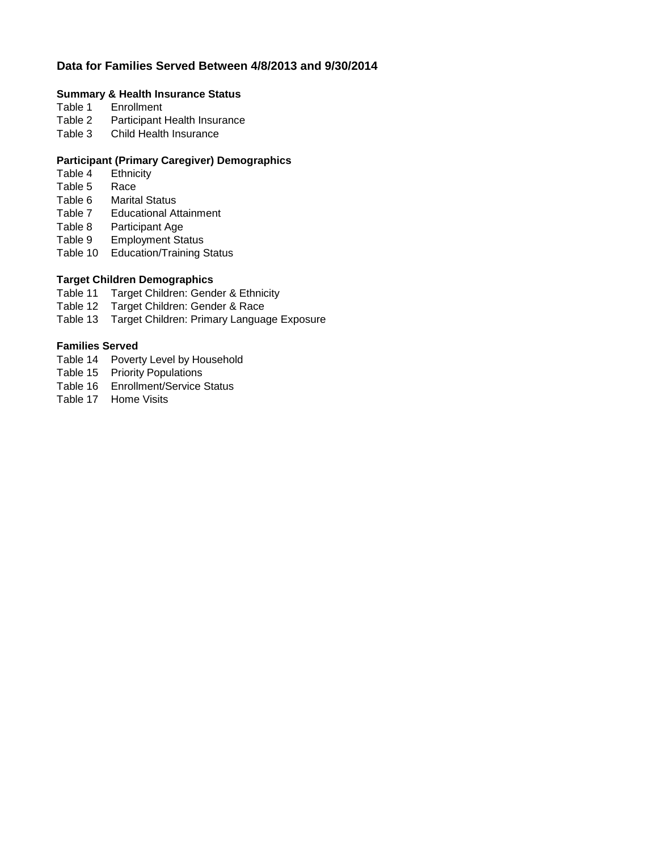### **Data for Families Served Between 4/8/2013 and 9/30/2014**

# **Summary & Health Insurance Status**<br>Table 1 Enrollment

- **Enrollment**
- Table 2 Participant Health Insurance
- Table 3 Child Health Insurance

### **Participant (Primary Caregiver) Demographics**

- Table 4 Ethnicity<br>Table 5 Race
- Table 5
- Table 6 Marital Status<br>Table 7 Educational At
- **Educational Attainment**
- Table 8 Participant Age
- Table 9 Employment Status
- Table 10 Education/Training Status

### **Target Children Demographics**

- Table 11 Target Children: Gender & Ethnicity
- Table 12 Target Children: Gender & Race
- Table 13 Target Children: Primary Language Exposure

### **Families Served**

- Table 14 Poverty Level by Household
- Table 15 Priority Populations
- Table 16 Enrollment/Service Status
- Table 17 Home Visits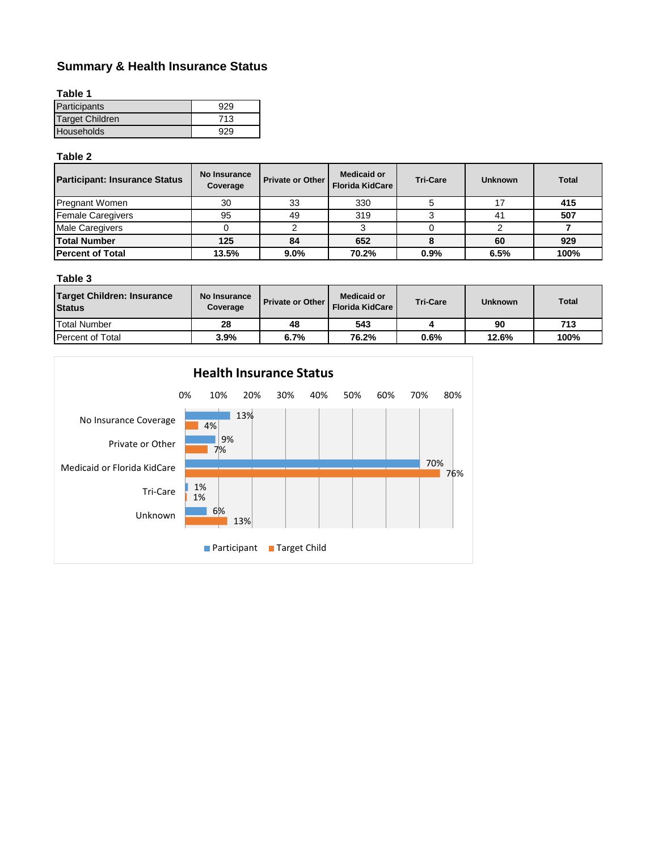## **Summary & Health Insurance Status**

|--|--|

| Participants           | 929 |
|------------------------|-----|
| <b>Target Children</b> | 713 |
| <b>Households</b>      | 929 |

#### **Table 2**

| <b>Participant: Insurance Status</b> | <b>No Insurance</b><br>Coverage | <b>Private or Other</b> | <b>Medicaid or</b><br><b>Florida KidCare</b> | <b>Tri-Care</b> | <b>Unknown</b> | <b>Total</b> |
|--------------------------------------|---------------------------------|-------------------------|----------------------------------------------|-----------------|----------------|--------------|
| <b>Pregnant Women</b>                | 30                              | 33                      | 330                                          |                 |                | 415          |
| <b>Female Caregivers</b>             | 95                              | 49                      | 319                                          |                 | 41             | 507          |
| Male Caregivers                      |                                 |                         |                                              |                 |                |              |
| <b>Total Number</b>                  | 125                             | 84                      | 652                                          |                 | 60             | 929          |
| <b>Percent of Total</b>              | 13.5%                           | 9.0%                    | 70.2%                                        | 0.9%            | 6.5%           | 100%         |

### **Table 3**

| <b>Target Children: Insurance</b><br><b>Status</b> | No Insurance<br>Coverage | <b>Private or Other</b> | Medicaid or<br><b>Florida KidCare</b> | <b>Tri-Care</b> | <b>Unknown</b> | <b>Total</b> |
|----------------------------------------------------|--------------------------|-------------------------|---------------------------------------|-----------------|----------------|--------------|
| <b>Total Number</b>                                | 28                       | 48                      | 543                                   |                 | 90             | 713          |
| <b>Percent of Total</b>                            | 3.9%                     | 6.7%                    | 76.2%                                 | 0.6%            | 12.6%          | 100%         |

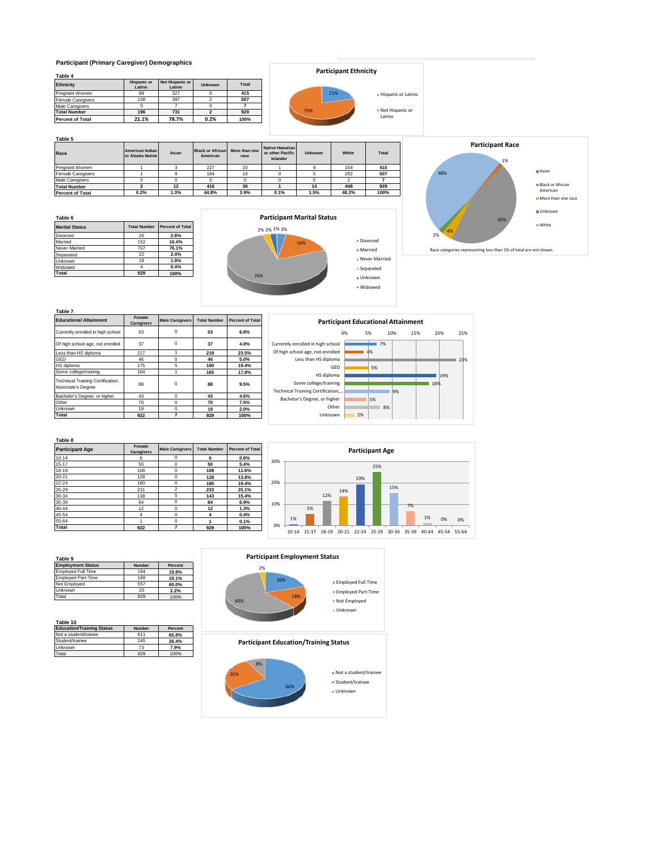#### **Participant (Primary Caregiver) Demographics**

| Table 4                  |                              |                           |                |              |
|--------------------------|------------------------------|---------------------------|----------------|--------------|
| <b>Ethnicity</b>         | <b>Hispanic or</b><br>Latino | Not Hispanic or<br>Latino | <b>Unknown</b> | <b>Total</b> |
| Pregnant Women           | 88                           | 327                       |                | 415          |
| <b>Female Caregivers</b> | 108                          | 397                       |                | 507          |
| <b>Male Caregivers</b>   |                              |                           |                |              |
| <b>Total Number</b>      | 196                          | 731                       |                | 929          |
| <b>Percent of Total</b>  | 21.1%                        | 78.7%                     | 0.2%           | 100%         |

### **Participant Ethnicity**

|     | 21% | - Hispanic or Latino        |
|-----|-----|-----------------------------|
| 79% |     | • Not Hispanic or<br>Latino |

**Table 5**

| Race                     | American Indian<br>or Alaska Native | Asian | <b>Black or African</b><br>American | More than one<br>race | Native Hawaiian<br>or other Pacific<br>Islander | <b>Unknown</b> | White | <b>Total</b> |
|--------------------------|-------------------------------------|-------|-------------------------------------|-----------------------|-------------------------------------------------|----------------|-------|--------------|
| Pregnant Women           |                                     |       | 227                                 | 20                    |                                                 |                | 154   | 415          |
| <b>Female Caregivers</b> |                                     |       | 184                                 | 16                    |                                                 |                | 292   | 507          |
| <b>Male Caregivers</b>   |                                     |       |                                     |                       |                                                 |                |       |              |
| <b>Total Number</b>      |                                     | 12    | 416                                 | 36                    |                                                 | 14             | 448   | 929          |
| <b>Percent of Total</b>  | 0.2%                                | 1.3%  | 44.8%                               | 3.9%                  | 0.1%                                            | 1.5%           | 48.2% | 100%         |

**Table 6 Marital Status Total Number Percent of Total Number Percent of Total Number 2.6 2.8%**<br>
Married **152 16.4%** Divorced 26<br>Married 15<sup>2</sup> Married 152 **16.4%** Never Married 707 **76.1%** External<br>
Separated 22 **2.4%**<br>
Reported 22 **2.4%**<br>
Reported 22 **2.4%**<br>
Reported 18 1.9% Unknown 18 **1.9%** Widowed 4 **0.4% Total 929 100%**





| Table 7                                                 |                      |                        |                     |                         |
|---------------------------------------------------------|----------------------|------------------------|---------------------|-------------------------|
| <b>Educational Attainment</b>                           | Female<br>Caregivers | <b>Male Caregivers</b> | <b>Total Number</b> | <b>Percent of Total</b> |
| Currently enrolled in high school                       | 63                   | $\Omega$               | 63                  | 6.8%                    |
| Of high school age, not enrolled                        | 37                   | $\mathbf 0$            | 37                  | 4.0%                    |
| Less than HS diploma                                    | 217                  |                        | 218                 | 23.5%                   |
| GED                                                     | 46                   | $\Omega$               | 46                  | 5.0%                    |
| HS diploma                                              | 175                  | 5                      | 180                 | 19.4%                   |
| Some college/training                                   | 164                  |                        | 165                 | 17.8%                   |
| Technical Training Certification,<br>Associate's Degree | 88                   | $\mathbf 0$            | 88                  | 9.5%                    |
| Bachelor's Degree, or higher                            | 43                   | $\mathbf 0$            | 43                  | 4.6%                    |
| Other                                                   | 70                   | $\Omega$               | 70                  | 7.5%                    |
| Unknown                                                 | 19                   | $\Omega$               | 19                  | 2.0%                    |
| Total                                                   | 922                  | 7                      | 929                 | 100%                    |



Divorced Married Never Married **Separated** Unknown Widowed



#### **Table 8**

| <b>Participant Age</b> | Female<br><b>Caregivers</b> | <b>Male Caregivers</b> | <b>Total Number</b> | <b>Percent of Total</b> |
|------------------------|-----------------------------|------------------------|---------------------|-------------------------|
| $10 - 14$              | 6                           | 0                      | 6                   | 0.6%                    |
| $15 - 17$              | 50                          | $\mathbf 0$            | 50                  | 5.4%                    |
| 18-19                  | 108                         | $\mathbf 0$            | 108                 | 11.6%                   |
| $20 - 21$              | 128                         | $\mathbf 0$            | 128                 | 13.8%                   |
| 22-24                  | 180                         | $\mathbf 0$            | 180                 | 19.4%                   |
| 25-29                  | 231                         | $\overline{2}$         | 233                 | 25.1%                   |
| 30-34                  | 138                         | 5                      | 143                 | 15.4%                   |
| 35-39                  | 64                          | $\Omega$               | 64                  | 6.9%                    |
| 40-44                  | 12                          | $\Omega$               | 12                  | 1.3%                    |
| 45-54                  | 4                           | $\mathbf 0$            | 4                   | 0.4%                    |
| 55-64                  |                             | $\mathbf 0$            |                     | 0.1%                    |
| Total                  | 922                         | 7                      | 929                 | 100%                    |



| <b>Employment Status</b>  | Number | Percent |
|---------------------------|--------|---------|
| <b>Employed Full Time</b> | 184    | 19.8%   |
| <b>Employed Part-Time</b> | 168    | 18.1%   |
| Not Emploved              | 557    | 60.0%   |
| <b>Jnknown</b>            | 20     | 2.2%    |
| "otal                     | 929    | 100%    |

| Table 10                         |        |         |
|----------------------------------|--------|---------|
| <b>Education/Training Status</b> | Number | Percent |
| Not a student/trainee            | 611    | 65.8%   |
| Student/trainee                  | 245    | 26.4%   |
| Unknown                          | 73     | 7.9%    |
| Total                            | 929    | 100%    |

#### **Participant Employment Status**

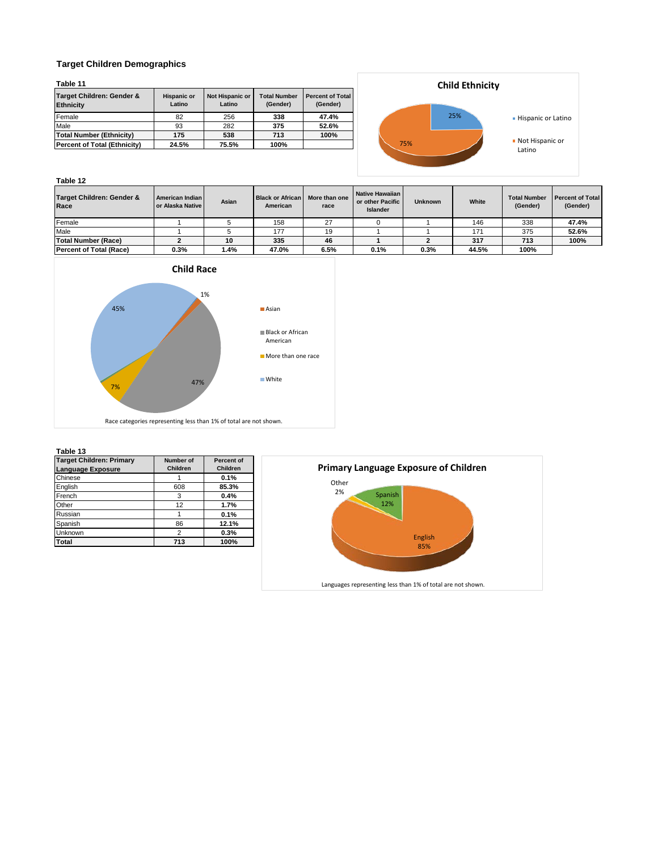#### **Target Children Demographics**

| abl<br>le |
|-----------|
|-----------|

| .                                             |                              |                           |                                 |                                     |  |
|-----------------------------------------------|------------------------------|---------------------------|---------------------------------|-------------------------------------|--|
| Target Children: Gender &<br><b>Ethnicity</b> | <b>Hispanic or</b><br>Latino | Not Hispanic or<br>Latino | <b>Total Number</b><br>(Gender) | <b>Percent of Total</b><br>(Gender) |  |
| Female                                        | 82                           | 256                       | 338                             | 47.4%                               |  |
| Male                                          | 93                           | 282                       | 375                             | 52.6%                               |  |
| <b>Total Number (Ethnicity)</b>               | 175                          | 538                       | 713                             | 100%                                |  |
| <b>Percent of Total (Ethnicity)</b>           | 24.5%                        | 75.5%                     | 100%                            |                                     |  |



#### **Table 12 Target Children: Gender & Race American Indian or Alaska Native Asian Black or African American More than one race Native Hawaiian or other Pacific Islander Unknown White Total Number (Gender) Percent of Total (Gender)** Female 1 5 158 27 0 1 146 338 **47.4%** Male 1 5 177 19 1 1 171 375 **52.6% Total Number (Race) 2 10 335 46 1 2 317 713 100% Percent of Total (Race) 0.3% 1.4% 47.0% 6.5% 0.1% 0.3% 44.5% 100%**





#### **Table 13**

| <b>Target Children: Primary</b><br><b>Language Exposure</b> | Number of<br><b>Children</b> | <b>Percent of</b><br><b>Children</b> |
|-------------------------------------------------------------|------------------------------|--------------------------------------|
| Chinese                                                     |                              | 0.1%                                 |
| English                                                     | 608                          | 85.3%                                |
| French                                                      | 3                            | 0.4%                                 |
| Other                                                       | 12                           | 1.7%                                 |
| Russian                                                     |                              | 0.1%                                 |
| Spanish                                                     | 86                           | 12.1%                                |
| Unknown                                                     | $\overline{2}$               | 0.3%                                 |
| <b>Total</b>                                                | 713                          | 100%                                 |